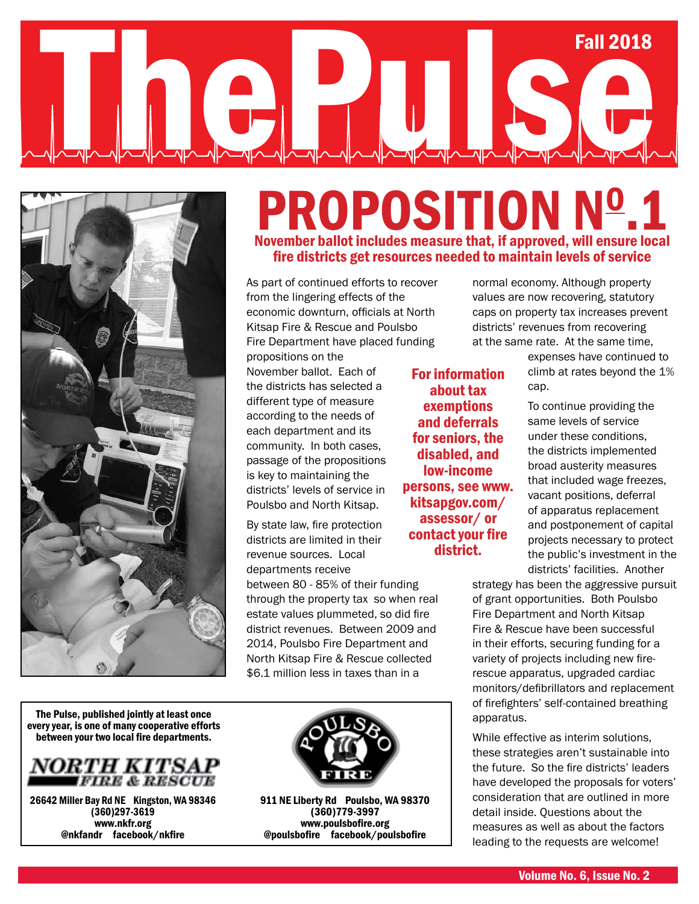# Fall 2018 The Pulse of the Pulse of the Pulse of the Pulse of the Pulse of the Pulse of the Pulse of the Pulse of the Pulse of the Pulse of the Pulse of the Pulse of the Pulse of the Pulse of the Pulse of the Pulse of the Pulse of t



### **PROPOSITION Nº.1** November ballot includes measure that, if approved, will ensure local fire districts get resources needed to maintain levels of service

For information about tax exemptions and deferrals for seniors, the disabled, and low-income persons, see www. kitsapgov.com/ assessor/ or

district.

As part of continued efforts to recover from the lingering effects of the economic downturn, officials at North Kitsap Fire & Rescue and Poulsbo Fire Department have placed funding

propositions on the November ballot. Each of the districts has selected a different type of measure according to the needs of each department and its community. In both cases, passage of the propositions is key to maintaining the districts' levels of service in Poulsbo and North Kitsap.

By state law, fire protection districts are limited in their revenue sources. Local departments receive between 80 - 85% of their funding through the property tax so when real estate values plummeted, so did fire district revenues. Between 2009 and contact your fire

2014, Poulsbo Fire Department and North Kitsap Fire & Rescue collected \$6.1 million less in taxes than in a

The Pulse, published jointly at least once every year, is one of many cooperative efforts between your two local fire departments.



26642 Miller Bay Rd NE Kingston, WA 98346 (360)297-3619 www.nkfr.org @nkfandr facebook/nkfire



911 NE Liberty Rd Poulsbo, WA 98370 (360)779-3997 www.poulsbofire.org @poulsbofire facebook/poulsbofire

normal economy. Although property values are now recovering, statutory caps on property tax increases prevent districts' revenues from recovering at the same rate. At the same time,

> expenses have continued to climb at rates beyond the 1% cap.

To continue providing the same levels of service under these conditions, the districts implemented broad austerity measures that included wage freezes, vacant positions, deferral of apparatus replacement and postponement of capital projects necessary to protect the public's investment in the districts' facilities. Another

strategy has been the aggressive pursuit of grant opportunities. Both Poulsbo Fire Department and North Kitsap Fire & Rescue have been successful in their efforts, securing funding for a variety of projects including new firerescue apparatus, upgraded cardiac monitors/defibrillators and replacement of firefighters' self-contained breathing apparatus.

While effective as interim solutions, these strategies aren't sustainable into the future. So the fire districts' leaders have developed the proposals for voters' consideration that are outlined in more detail inside. Questions about the measures as well as about the factors leading to the requests are welcome!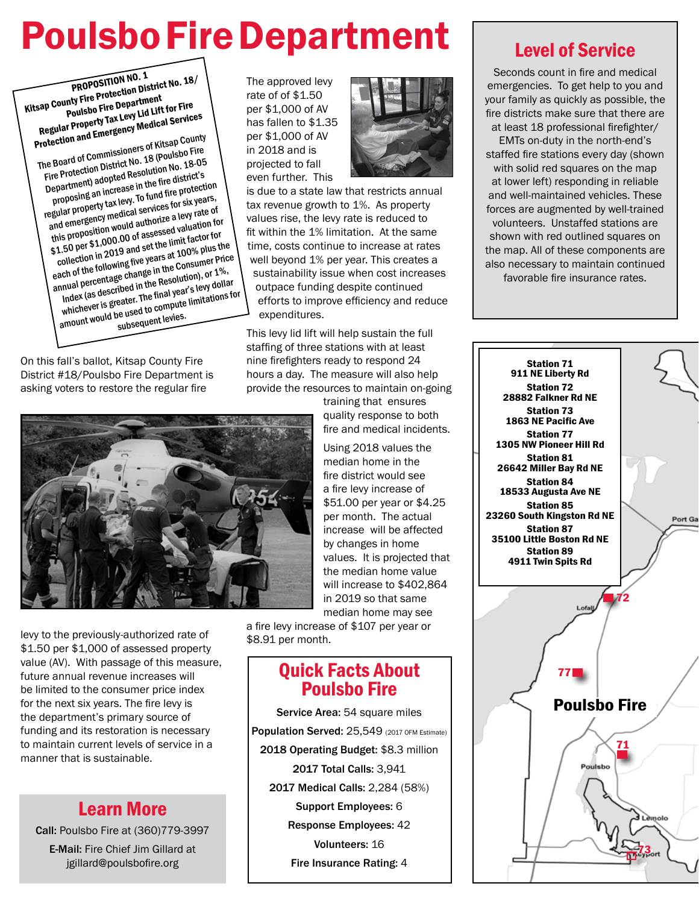## Poulsbo Fire Department

PROPOSITION NO. 1<br>Inty Fire Protection District<br>Poulsbo Fire Department **PROPOSITION NO. 1**<br>Kitsap County Fire Protection District No. 18/<br>Poulsbo Fire Department<br>Levy Lid Lift for Fire Regular Property Tax Levy Lid Lift for Fire Protection and Emergency Medical Services The Board of Commissioners of Kitsap County Fire Protection District No. 18 (Poulsbo Fire Department) adopted Resolution No. 18-05 proposing an increase in the fire district's regular property tax levy. To fund fire protection and emergency medical services for six years, this proposition would authorize a levy rate of

\$1.50 per \$1,000.00 of assessed valuation for collection in 2019 and set the limit factor for each of the following five years at 100% plus the annual percentage change in the Consumer Price Index (as described in the Resolution), or 1%, whichever is greater. The final year's levy dollar<br>amount would be used to compute limitations for<br>subsequent levies. Index (as described: The final year of the unitations for<br>whichever is greater. The final year of unitations for<br>amount would be used to compute limitations for

On this fall's ballot, Kitsap County Fire District #18/Poulsbo Fire Department is asking voters to restore the regular fire



levy to the previously-authorized rate of \$1.50 per \$1,000 of assessed property value (AV). With passage of this measure, future annual revenue increases will be limited to the consumer price index for the next six years. The fire levy is the department's primary source of funding and its restoration is necessary to maintain current levels of service in a manner that is sustainable.

### Learn More

Call: Poulsbo Fire at (360)779-3997

E-Mail: Fire Chief Jim Gillard at jgillard@poulsbofire.org

The approved levy rate of of \$1.50 per \$1,000 of AV has fallen to \$1.35 per \$1,000 of AV in 2018 and is projected to fall even further. This



is due to a state law that restricts annual tax revenue growth to 1%. As property values rise, the levy rate is reduced to fit within the 1% limitation. At the same time, costs continue to increase at rates well beyond 1% per year. This creates a sustainability issue when cost increases outpace funding despite continued efforts to improve efficiency and reduce expenditures.

This levy lid lift will help sustain the full staffing of three stations with at least nine firefighters ready to respond 24 hours a day. The measure will also help provide the resources to maintain on-going

training that ensures quality response to both fire and medical incidents.

Using 2018 values the median home in the fire district would see a fire levy increase of \$51.00 per year or \$4.25 per month. The actual increase will be affected by changes in home values. It is projected that the median home value will increase to \$402,864 in 2019 so that same median home may see

a fire levy increase of \$107 per year or \$8.91 per month.

### Quick Facts About Poulsbo Fire

Service Area: 54 square miles Population Served: 25,549 (2017 OFM Estimate) 2018 Operating Budget: \$8.3 million 2017 Total Calls: 3,941 2017 Medical Calls: 2,284 (58%) Support Employees: 6 Response Employees: 42 Volunteers: 16 Fire Insurance Rating: 4

### Level of Service

Seconds count in fire and medical emergencies. To get help to you and your family as quickly as possible, the fire districts make sure that there are at least 18 professional firefighter/

EMTs on-duty in the north-end's staffed fire stations every day (shown with solid red squares on the map at lower left) responding in reliable and well-maintained vehicles. These forces are augmented by well-trained volunteers. Unstaffed stations are shown with red outlined squares on the map. All of these components are also necessary to maintain continued favorable fire insurance rates.

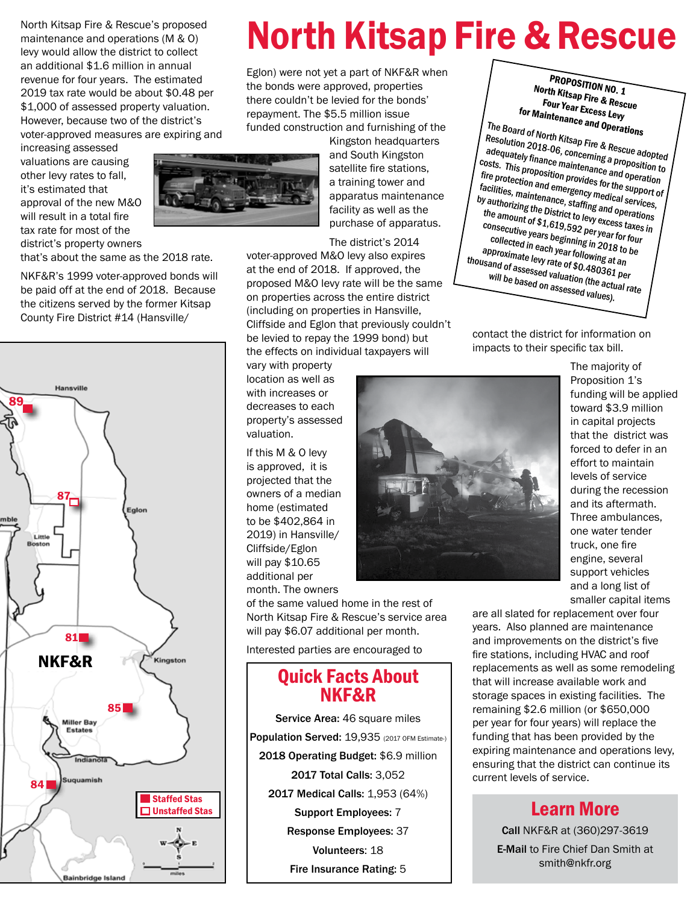North Kitsap Fire & Rescue's proposed maintenance and operations (M & O) levy would allow the district to collect an additional \$1.6 million in annual revenue for four years. The estimated 2019 tax rate would be about \$0.48 per \$1,000 of assessed property valuation. However, because two of the district's voter-approved measures are expiring and

increasing assessed valuations are causing other levy rates to fall, it's estimated that approval of the new M&O will result in a total fire tax rate for most of the district's property owners

that's about the same as the 2018 rate.

NKF&R's 1999 voter-approved bonds will be paid off at the end of 2018. Because the citizens served by the former Kitsap County Fire District #14 (Hansville/



### North Kitsap Fire & Rescue

Eglon) were not yet a part of NKF&R when the bonds were approved, properties there couldn't be levied for the bonds' repayment. The \$5.5 million issue funded construction and furnishing of the

Kingston headquarters and South Kingston satellite fire stations, a training tower and apparatus maintenance facility as well as the purchase of apparatus.

The district's 2014

voter-approved M&O levy also expires at the end of 2018. If approved, the proposed M&O levy rate will be the same on properties across the entire district (including on properties in Hansville, Cliffside and Eglon that previously couldn't be levied to repay the 1999 bond) but the effects on individual taxpayers will

vary with property location as well as with increases or decreases to each property's assessed valuation.

If this M & O levy is approved, it is projected that the owners of a median home (estimated to be \$402,864 in 2019) in Hansville/ Cliffside/Eglon will pay \$10.65 additional per month. The owners

of the same valued home in the rest of North Kitsap Fire & Rescue's service area will pay \$6.07 additional per month.

Interested parties are encouraged to

### Quick Facts About NKF&R

Service Area: 46 square miles Population Served: 19,935 (2017 OFM Estimate-) 2018 Operating Budget: \$6.9 million 2017 Total Calls: 3,052 2017 Medical Calls: 1,953 (64%) Support Employees: 7 Response Employees: 37 Volunteers: 18 Fire Insurance Rating: 5

PROPOSITION NO. 1 North Kitsap Fire & Rescue Four Year Excess Levy for Maintenance and Operations

The Board of North Kitsap Fire & Rescue adopted Resolution 2018-06, concerning a proposition to dequately finance maintenance and operation costs. This proposition provides for the support of fire protection and emergency medical services, facilities, maintenance, staffing and operations by authorizing the District to levy excess taxes in the amount of \$1,619,592 per year for four consecutive years beginning in 2018 to be collected in each year following at an approximate levy rate of \$0.480361 per thousand of assessed valuation (the actual rate will be based on assessed values).

contact the district for information on impacts to their specific tax bill.



The majority of Proposition 1's funding will be applied toward \$3.9 million in capital projects that the district was forced to defer in an effort to maintain levels of service during the recession and its aftermath. Three ambulances, one water tender truck, one fire engine, several support vehicles and a long list of smaller capital items

are all slated for replacement over four years. Also planned are maintenance and improvements on the district's five fire stations, including HVAC and roof replacements as well as some remodeling that will increase available work and storage spaces in existing facilities. The remaining \$2.6 million (or \$650,000 per year for four years) will replace the funding that has been provided by the expiring maintenance and operations levy, ensuring that the district can continue its current levels of service.

### Learn More

Call NKF&R at (360)297-3619

E-Mail to Fire Chief Dan Smith at smith@nkfr.org